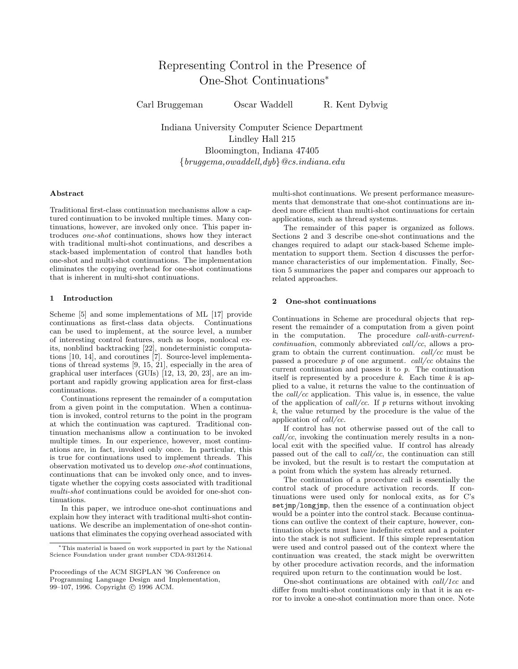# Representing Control in the Presence of One-Shot Continuations<sup>∗</sup>

Carl Bruggeman Oscar Waddell R. Kent Dybvig

Indiana University Computer Science Department Lindley Hall 215 Bloomington, Indiana 47405 {bruggema,owaddell,dyb}@cs.indiana.edu

# Abstract

Traditional first-class continuation mechanisms allow a captured continuation to be invoked multiple times. Many continuations, however, are invoked only once. This paper introduces one-shot continuations, shows how they interact with traditional multi-shot continuations, and describes a stack-based implementation of control that handles both one-shot and multi-shot continuations. The implementation eliminates the copying overhead for one-shot continuations that is inherent in multi-shot continuations.

#### 1 Introduction

Scheme [5] and some implementations of ML [17] provide continuations as first-class data objects. Continuations can be used to implement, at the source level, a number of interesting control features, such as loops, nonlocal exits, nonblind backtracking [22], nondeterministic computations [10, 14], and coroutines [7]. Source-level implementations of thread systems [9, 15, 21], especially in the area of graphical user interfaces (GUIs) [12, 13, 20, 23], are an important and rapidly growing application area for first-class continuations.

Continuations represent the remainder of a computation from a given point in the computation. When a continuation is invoked, control returns to the point in the program at which the continuation was captured. Traditional continuation mechanisms allow a continuation to be invoked multiple times. In our experience, however, most continuations are, in fact, invoked only once. In particular, this is true for continuations used to implement threads. This observation motivated us to develop one-shot continuations, continuations that can be invoked only once, and to investigate whether the copying costs associated with traditional multi-shot continuations could be avoided for one-shot continuations.

In this paper, we introduce one-shot continuations and explain how they interact with traditional multi-shot continuations. We describe an implementation of one-shot continuations that eliminates the copying overhead associated with multi-shot continuations. We present performance measurements that demonstrate that one-shot continuations are indeed more efficient than multi-shot continuations for certain applications, such as thread systems.

The remainder of this paper is organized as follows. Sections 2 and 3 describe one-shot continuations and the changes required to adapt our stack-based Scheme implementation to support them. Section 4 discusses the performance characteristics of our implementation. Finally, Section 5 summarizes the paper and compares our approach to related approaches.

# 2 One-shot continuations

Continuations in Scheme are procedural objects that represent the remainder of a computation from a given point in the computation. The procedure call-with-currentcontinuation, commonly abbreviated call/cc, allows a program to obtain the current continuation. call/cc must be passed a procedure  $p$  of one argument.  $call/cc$  obtains the current continuation and passes it to p. The continuation itself is represented by a procedure  $k$ . Each time  $k$  is applied to a value, it returns the value to the continuation of the call/cc application. This value is, in essence, the value of the application of  $call/cc$ . If p returns without invoking k, the value returned by the procedure is the value of the application of call/cc.

If control has not otherwise passed out of the call to  $\textit{call/cc}$ , invoking the continuation merely results in a nonlocal exit with the specified value. If control has already passed out of the call to *call/cc*, the continuation can still be invoked, but the result is to restart the computation at a point from which the system has already returned.

The continuation of a procedure call is essentially the control stack of procedure activation records. If continuations were used only for nonlocal exits, as for C's setjmp/longjmp, then the essence of a continuation object would be a pointer into the control stack. Because continuations can outlive the context of their capture, however, continuation objects must have indefinite extent and a pointer into the stack is not sufficient. If this simple representation were used and control passed out of the context where the continuation was created, the stack might be overwritten by other procedure activation records, and the information required upon return to the continuation would be lost.

One-shot continuations are obtained with call/1cc and differ from multi-shot continuations only in that it is an error to invoke a one-shot continuation more than once. Note

<sup>∗</sup>This material is based on work supported in part by the National Science Foundation under grant number CDA-9312614.

Proceedings of the ACM SIGPLAN '96 Conference on Programming Language Design and Implementation, 99–107, 1996. Copyright © 1996 ACM.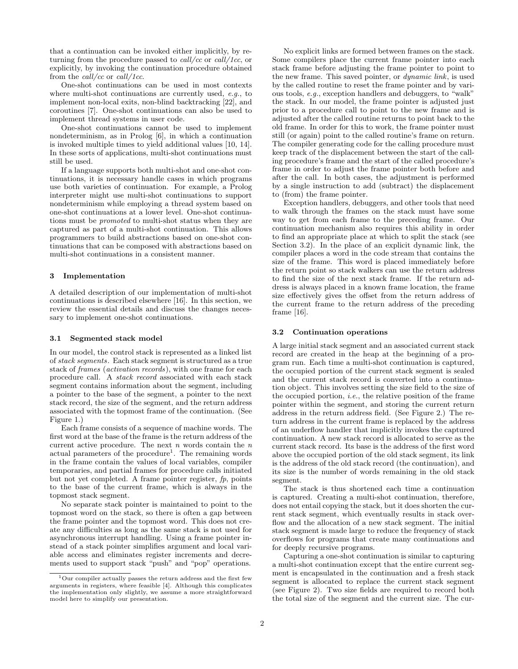that a continuation can be invoked either implicitly, by returning from the procedure passed to  $call/cc$  or  $call/1cc$ , or explicitly, by invoking the continuation procedure obtained from the call/cc or call/1cc.

One-shot continuations can be used in most contexts where multi-shot continuations are currently used, e.g., to implement non-local exits, non-blind backtracking [22], and coroutines [7]. One-shot continuations can also be used to implement thread systems in user code.

One-shot continuations cannot be used to implement nondeterminism, as in Prolog [6], in which a continuation is invoked multiple times to yield additional values [10, 14]. In these sorts of applications, multi-shot continuations must still be used.

If a language supports both multi-shot and one-shot continuations, it is necessary handle cases in which programs use both varieties of continuation. For example, a Prolog interpreter might use multi-shot continuations to support nondeterminism while employing a thread system based on one-shot continuations at a lower level. One-shot continuations must be promoted to multi-shot status when they are captured as part of a multi-shot continuation. This allows programmers to build abstractions based on one-shot continuations that can be composed with abstractions based on multi-shot continuations in a consistent manner.

#### 3 Implementation

A detailed description of our implementation of multi-shot continuations is described elsewhere [16]. In this section, we review the essential details and discuss the changes necessary to implement one-shot continuations.

#### 3.1 Segmented stack model

In our model, the control stack is represented as a linked list of stack segments. Each stack segment is structured as a true stack of frames (activation records), with one frame for each procedure call. A stack record associated with each stack segment contains information about the segment, including a pointer to the base of the segment, a pointer to the next stack record, the size of the segment, and the return address associated with the topmost frame of the continuation. (See Figure 1.)

Each frame consists of a sequence of machine words. The first word at the base of the frame is the return address of the current active procedure. The next  $n$  words contain the  $n$ actual parameters of the procedure<sup>1</sup>. The remaining words in the frame contain the values of local variables, compiler temporaries, and partial frames for procedure calls initiated but not yet completed. A frame pointer register, fp, points to the base of the current frame, which is always in the topmost stack segment.

No separate stack pointer is maintained to point to the topmost word on the stack, so there is often a gap between the frame pointer and the topmost word. This does not create any difficulties as long as the same stack is not used for asynchronous interrupt handling. Using a frame pointer instead of a stack pointer simplifies argument and local variable access and eliminates register increments and decrements used to support stack "push" and "pop" operations.

No explicit links are formed between frames on the stack. Some compilers place the current frame pointer into each stack frame before adjusting the frame pointer to point to the new frame. This saved pointer, or dynamic link, is used by the called routine to reset the frame pointer and by various tools, e.g., exception handlers and debuggers, to "walk" the stack. In our model, the frame pointer is adjusted just prior to a procedure call to point to the new frame and is adjusted after the called routine returns to point back to the old frame. In order for this to work, the frame pointer must still (or again) point to the called routine's frame on return. The compiler generating code for the calling procedure must keep track of the displacement between the start of the calling procedure's frame and the start of the called procedure's frame in order to adjust the frame pointer both before and after the call. In both cases, the adjustment is performed by a single instruction to add (subtract) the displacement to (from) the frame pointer.

Exception handlers, debuggers, and other tools that need to walk through the frames on the stack must have some way to get from each frame to the preceding frame. Our continuation mechanism also requires this ability in order to find an appropriate place at which to split the stack (see Section 3.2). In the place of an explicit dynamic link, the compiler places a word in the code stream that contains the size of the frame. This word is placed immediately before the return point so stack walkers can use the return address to find the size of the next stack frame. If the return address is always placed in a known frame location, the frame size effectively gives the offset from the return address of the current frame to the return address of the preceding frame [16].

#### 3.2 Continuation operations

A large initial stack segment and an associated current stack record are created in the heap at the beginning of a program run. Each time a multi-shot continuation is captured, the occupied portion of the current stack segment is sealed and the current stack record is converted into a continuation object. This involves setting the size field to the size of the occupied portion, i.e., the relative position of the frame pointer within the segment, and storing the current return address in the return address field. (See Figure 2.) The return address in the current frame is replaced by the address of an underflow handler that implicitly invokes the captured continuation. A new stack record is allocated to serve as the current stack record. Its base is the address of the first word above the occupied portion of the old stack segment, its link is the address of the old stack record (the continuation), and its size is the number of words remaining in the old stack segment.

The stack is thus shortened each time a continuation is captured. Creating a multi-shot continuation, therefore, does not entail copying the stack, but it does shorten the current stack segment, which eventually results in stack overflow and the allocation of a new stack segment. The initial stack segment is made large to reduce the frequency of stack overflows for programs that create many continuations and for deeply recursive programs.

Capturing a one-shot continuation is similar to capturing a multi-shot continuation except that the entire current segment is encapsulated in the continuation and a fresh stack segment is allocated to replace the current stack segment (see Figure 2). Two size fields are required to record both the total size of the segment and the current size. The cur-

 $^1\rm{Our}$  compiler actually passes the return address and the first few arguments in registers, where feasible [4]. Although this complicates the implementation only slightly, we assume a more straightforward model here to simplify our presentation.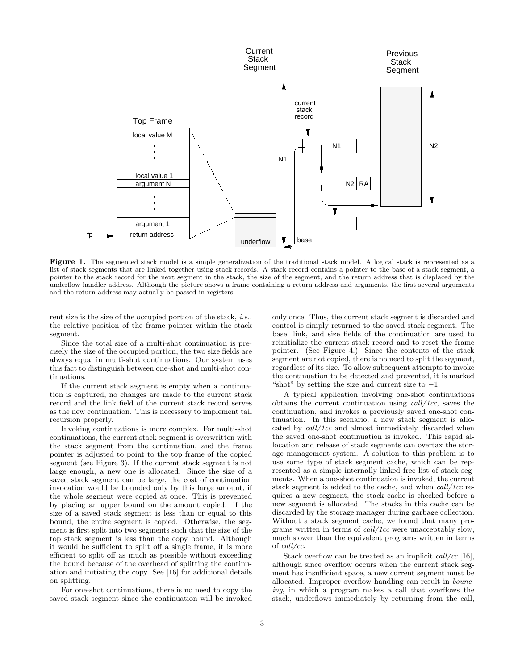

Figure 1. The segmented stack model is a simple generalization of the traditional stack model. A logical stack is represented as a list of stack segments that are linked together using stack records. A stack record contains a pointer to the base of a stack segment, a pointer to the stack record for the next segment in the stack, the size of the segment, and the return address that is displaced by the underflow handler address. Although the picture shows a frame containing a return address and arguments, the first several arguments and the return address may actually be passed in registers.

rent size is the size of the occupied portion of the stack, i.e., the relative position of the frame pointer within the stack segment.

Since the total size of a multi-shot continuation is precisely the size of the occupied portion, the two size fields are always equal in multi-shot continuations. Our system uses this fact to distinguish between one-shot and multi-shot continuations.

If the current stack segment is empty when a continuation is captured, no changes are made to the current stack record and the link field of the current stack record serves as the new continuation. This is necessary to implement tail recursion properly.

Invoking continuations is more complex. For multi-shot continuations, the current stack segment is overwritten with the stack segment from the continuation, and the frame pointer is adjusted to point to the top frame of the copied segment (see Figure 3). If the current stack segment is not large enough, a new one is allocated. Since the size of a saved stack segment can be large, the cost of continuation invocation would be bounded only by this large amount, if the whole segment were copied at once. This is prevented by placing an upper bound on the amount copied. If the size of a saved stack segment is less than or equal to this bound, the entire segment is copied. Otherwise, the segment is first split into two segments such that the size of the top stack segment is less than the copy bound. Although it would be sufficient to split off a single frame, it is more efficient to split off as much as possible without exceeding the bound because of the overhead of splitting the continuation and initiating the copy. See [16] for additional details on splitting.

For one-shot continuations, there is no need to copy the saved stack segment since the continuation will be invoked

only once. Thus, the current stack segment is discarded and control is simply returned to the saved stack segment. The base, link, and size fields of the continuation are used to reinitialize the current stack record and to reset the frame pointer. (See Figure 4.) Since the contents of the stack segment are not copied, there is no need to split the segment, regardless of its size. To allow subsequent attempts to invoke the continuation to be detected and prevented, it is marked "shot" by setting the size and current size to  $-1$ .

A typical application involving one-shot continuations obtains the current continuation using  $call/1cc$ , saves the continuation, and invokes a previously saved one-shot continuation. In this scenario, a new stack segment is allocated by call/1cc and almost immediately discarded when the saved one-shot continuation is invoked. This rapid allocation and release of stack segments can overtax the storage management system. A solution to this problem is to use some type of stack segment cache, which can be represented as a simple internally linked free list of stack segments. When a one-shot continuation is invoked, the current stack segment is added to the cache, and when call/1cc requires a new segment, the stack cache is checked before a new segment is allocated. The stacks in this cache can be discarded by the storage manager during garbage collection. Without a stack segment cache, we found that many programs written in terms of call/1cc were unacceptably slow, much slower than the equivalent programs written in terms of call/cc.

Stack overflow can be treated as an implicit call/cc [16], although since overflow occurs when the current stack segment has insufficient space, a new current segment must be allocated. Improper overflow handling can result in bouncing, in which a program makes a call that overflows the stack, underflows immediately by returning from the call,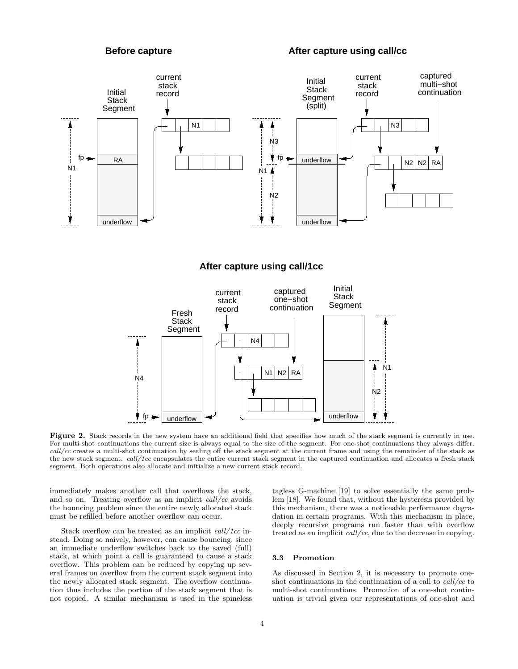# **Before capture After capture using call/cc**



# **After capture using call/1cc**



Figure 2. Stack records in the new system have an additional field that specifies how much of the stack segment is currently in use. For multi-shot continuations the current size is always equal to the size of the segment. For one-shot continuations they always differ. call/cc creates a multi-shot continuation by sealing off the stack segment at the current frame and using the remainder of the stack as the new stack segment. call/1cc encapsulates the entire current stack segment in the captured continuation and allocates a fresh stack segment. Both operations also allocate and initialize a new current stack record.

immediately makes another call that overflows the stack, and so on. Treating overflow as an implicit call/cc avoids the bouncing problem since the entire newly allocated stack must be refilled before another overflow can occur.

Stack overflow can be treated as an implicit call/1cc instead. Doing so naively, however, can cause bouncing, since an immediate underflow switches back to the saved (full) stack, at which point a call is guaranteed to cause a stack overflow. This problem can be reduced by copying up several frames on overflow from the current stack segment into the newly allocated stack segment. The overflow continuation thus includes the portion of the stack segment that is not copied. A similar mechanism is used in the spineless

tagless G-machine [19] to solve essentially the same problem [18]. We found that, without the hysteresis provided by this mechanism, there was a noticeable performance degradation in certain programs. With this mechanism in place, deeply recursive programs run faster than with overflow treated as an implicit call/cc, due to the decrease in copying.

# 3.3 Promotion

As discussed in Section 2, it is necessary to promote oneshot continuations in the continuation of a call to call/cc to multi-shot continuations. Promotion of a one-shot continuation is trivial given our representations of one-shot and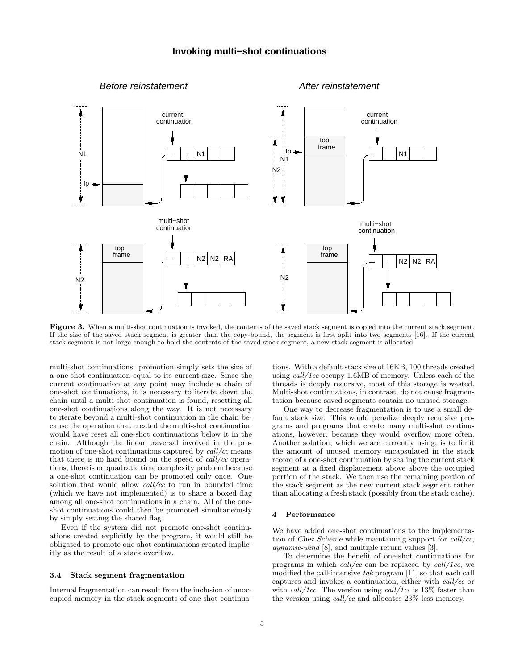

Figure 3. When a multi-shot continuation is invoked, the contents of the saved stack segment is copied into the current stack segment. If the size of the saved stack segment is greater than the copy-bound, the segment is first split into two segments [16]. If the current stack segment is not large enough to hold the contents of the saved stack segment, a new stack segment is allocated.

multi-shot continuations: promotion simply sets the size of a one-shot continuation equal to its current size. Since the current continuation at any point may include a chain of one-shot continuations, it is necessary to iterate down the chain until a multi-shot continuation is found, resetting all one-shot continuations along the way. It is not necessary to iterate beyond a multi-shot continuation in the chain because the operation that created the multi-shot continuation would have reset all one-shot continuations below it in the chain. Although the linear traversal involved in the promotion of one-shot continuations captured by  $call/cc$  means that there is no hard bound on the speed of  $call/cc$  operations, there is no quadratic time complexity problem because a one-shot continuation can be promoted only once. One solution that would allow  $\frac{call}{cc}$  to run in bounded time (which we have not implemented) is to share a boxed flag among all one-shot continuations in a chain. All of the oneshot continuations could then be promoted simultaneously by simply setting the shared flag.

Even if the system did not promote one-shot continuations created explicitly by the program, it would still be obligated to promote one-shot continuations created implicitly as the result of a stack overflow.

### 3.4 Stack segment fragmentation

Internal fragmentation can result from the inclusion of unoccupied memory in the stack segments of one-shot continua-

tions. With a default stack size of 16KB, 100 threads created using  $call/1cc$  occupy 1.6MB of memory. Unless each of the threads is deeply recursive, most of this storage is wasted. Multi-shot continuations, in contrast, do not cause fragmentation because saved segments contain no unused storage.

One way to decrease fragmentation is to use a small default stack size. This would penalize deeply recursive programs and programs that create many multi-shot continuations, however, because they would overflow more often. Another solution, which we are currently using, is to limit the amount of unused memory encapsulated in the stack record of a one-shot continuation by sealing the current stack segment at a fixed displacement above above the occupied portion of the stack. We then use the remaining portion of the stack segment as the new current stack segment rather than allocating a fresh stack (possibly from the stack cache).

#### 4 Performance

We have added one-shot continuations to the implementation of Chez Scheme while maintaining support for call/cc, dynamic-wind [8], and multiple return values [3].

To determine the benefit of one-shot continuations for programs in which call/cc can be replaced by call/1cc, we modified the call-intensive tak program [11] so that each call captures and invokes a continuation, either with call/cc or with *call/1cc*. The version using *call/1cc* is 13% faster than the version using  $\frac{call}{cc}$  and allocates 23% less memory.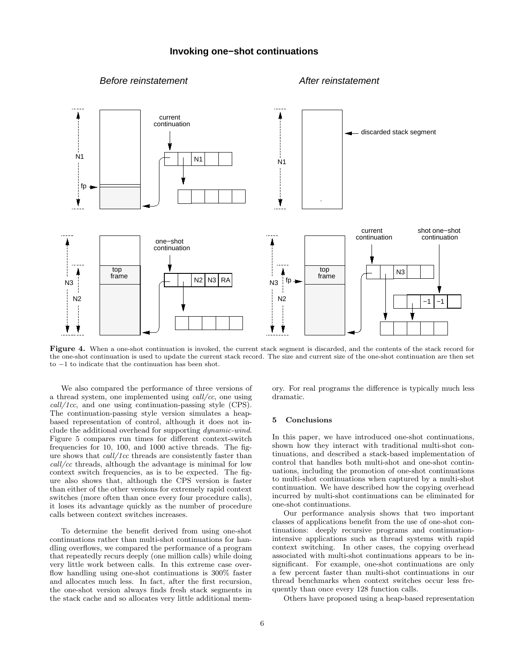# **Invoking one−shot continuations**

# Before reinstatement After reinstatement



Figure 4. When a one-shot continuation is invoked, the current stack segment is discarded, and the contents of the stack record for the one-shot continuation is used to update the current stack record. The size and current size of the one-shot continuation are then set to −1 to indicate that the continuation has been shot.

We also compared the performance of three versions of a thread system, one implemented using call/cc, one using call/1cc, and one using continuation-passing style (CPS). The continuation-passing style version simulates a heapbased representation of control, although it does not include the additional overhead for supporting dynamic-wind. Figure 5 compares run times for different context-switch frequencies for 10, 100, and 1000 active threads. The figure shows that call/1cc threads are consistently faster than call/cc threads, although the advantage is minimal for low context switch frequencies, as is to be expected. The figure also shows that, although the CPS version is faster than either of the other versions for extremely rapid context switches (more often than once every four procedure calls), it loses its advantage quickly as the number of procedure calls between context switches increases.

To determine the benefit derived from using one-shot continuations rather than multi-shot continuations for handling overflows, we compared the performance of a program that repeatedly recurs deeply (one million calls) while doing very little work between calls. In this extreme case overflow handling using one-shot continuations is 300% faster and allocates much less. In fact, after the first recursion, the one-shot version always finds fresh stack segments in the stack cache and so allocates very little additional memory. For real programs the difference is typically much less dramatic.

## 5 Conclusions

In this paper, we have introduced one-shot continuations, shown how they interact with traditional multi-shot continuations, and described a stack-based implementation of control that handles both multi-shot and one-shot continuations, including the promotion of one-shot continuations to multi-shot continuations when captured by a multi-shot continuation. We have described how the copying overhead incurred by multi-shot continuations can be eliminated for one-shot continuations.

Our performance analysis shows that two important classes of applications benefit from the use of one-shot continuations: deeply recursive programs and continuationintensive applications such as thread systems with rapid context switching. In other cases, the copying overhead associated with multi-shot continuations appears to be insignificant. For example, one-shot continuations are only a few percent faster than multi-shot continuations in our thread benchmarks when context switches occur less frequently than once every 128 function calls.

Others have proposed using a heap-based representation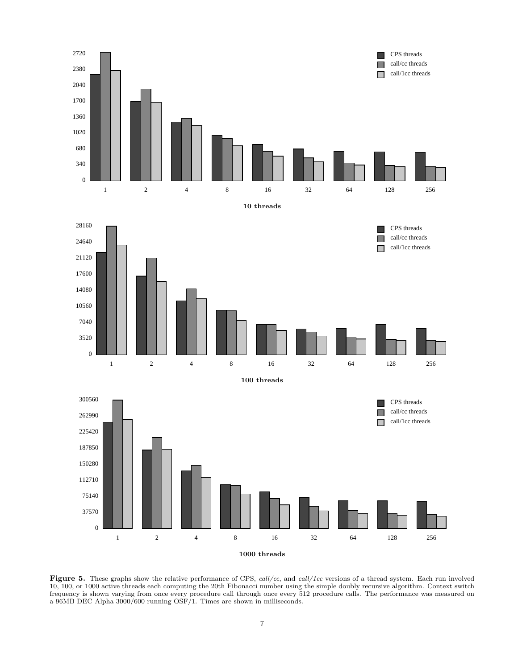

Figure 5. These graphs show the relative performance of CPS, call/cc, and call/1cc versions of a thread system. Each run involved 10, 100, or 1000 active threads each computing the 20th Fibonacci number using the simple doubly recursive algorithm. Context switch frequency is shown varying from once every procedure call through once every 512 procedure calls. The performance was measured on a 96MB DEC Alpha 3000/600 running OSF/1. Times are shown in milliseconds.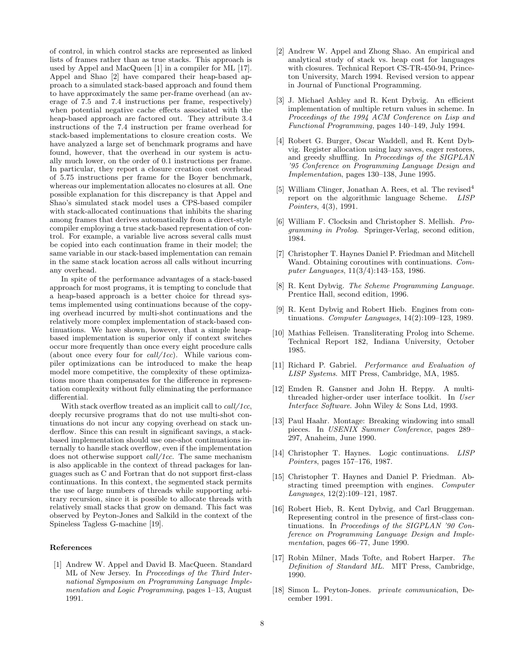of control, in which control stacks are represented as linked lists of frames rather than as true stacks. This approach is used by Appel and MacQueen [1] in a compiler for ML [17]. Appel and Shao [2] have compared their heap-based approach to a simulated stack-based approach and found them to have approximately the same per-frame overhead (an average of 7.5 and 7.4 instructions per frame, respectively) when potential negative cache effects associated with the heap-based approach are factored out. They attribute 3.4 instructions of the 7.4 instruction per frame overhead for stack-based implementations to closure creation costs. We have analyzed a large set of benchmark programs and have found, however, that the overhead in our system is actually much lower, on the order of 0.1 instructions per frame. In particular, they report a closure creation cost overhead of 5.75 instructions per frame for the Boyer benchmark, whereas our implementation allocates no closures at all. One possible explanation for this discrepancy is that Appel and Shao's simulated stack model uses a CPS-based compiler with stack-allocated continuations that inhibits the sharing among frames that derives automatically from a direct-style compiler employing a true stack-based representation of control. For example, a variable live across several calls must be copied into each continuation frame in their model; the same variable in our stack-based implementation can remain in the same stack location across all calls without incurring any overhead.

In spite of the performance advantages of a stack-based approach for most programs, it is tempting to conclude that a heap-based approach is a better choice for thread systems implemented using continuations because of the copying overhead incurred by multi-shot continuations and the relatively more complex implementation of stack-based continuations. We have shown, however, that a simple heapbased implementation is superior only if context switches occur more frequently than once every eight procedure calls (about once every four for  $call/1cc)$ . While various compiler optimizations can be introduced to make the heap model more competitive, the complexity of these optimizations more than compensates for the difference in representation complexity without fully eliminating the performance differential.

With stack overflow treated as an implicit call to *call/1cc*. deeply recursive programs that do not use multi-shot continuations do not incur any copying overhead on stack underflow. Since this can result in significant savings, a stackbased implementation should use one-shot continuations internally to handle stack overflow, even if the implementation does not otherwise support *call/1cc*. The same mechanism is also applicable in the context of thread packages for languages such as C and Fortran that do not support first-class continuations. In this context, the segmented stack permits the use of large numbers of threads while supporting arbitrary recursion, since it is possible to allocate threads with relatively small stacks that grow on demand. This fact was observed by Peyton-Jones and Salkild in the context of the Spineless Tagless G-machine [19].

#### References

[1] Andrew W. Appel and David B. MacQueen. Standard ML of New Jersey. In Proceedings of the Third International Symposium on Programming Language Implementation and Logic Programming, pages 1–13, August 1991.

- [2] Andrew W. Appel and Zhong Shao. An empirical and analytical study of stack vs. heap cost for languages with closures. Technical Report CS-TR-450-94, Princeton University, March 1994. Revised version to appear in Journal of Functional Programming.
- [3] J. Michael Ashley and R. Kent Dybvig. An efficient implementation of multiple return values in scheme. In Proceedings of the 1994 ACM Conference on Lisp and Functional Programming, pages 140–149, July 1994.
- [4] Robert G. Burger, Oscar Waddell, and R. Kent Dybvig. Register allocation using lazy saves, eager restores, and greedy shuffling. In Proceedings of the SIGPLAN '95 Conference on Programming Language Design and Implementation, pages 130–138, June 1995.
- [5] William Clinger, Jonathan A. Rees, et al. The revised<sup>4</sup> report on the algorithmic language Scheme. LISP Pointers, 4(3), 1991.
- [6] William F. Clocksin and Christopher S. Mellish. Programming in Prolog. Springer-Verlag, second edition, 1984.
- [7] Christopher T. Haynes Daniel P. Friedman and Mitchell Wand. Obtaining coroutines with continuations. Computer Languages, 11(3/4):143–153, 1986.
- [8] R. Kent Dybvig. The Scheme Programming Language. Prentice Hall, second edition, 1996.
- [9] R. Kent Dybvig and Robert Hieb. Engines from continuations. Computer Languages, 14(2):109–123, 1989.
- [10] Mathias Felleisen. Transliterating Prolog into Scheme. Technical Report 182, Indiana University, October 1985.
- [11] Richard P. Gabriel. Performance and Evaluation of LISP Systems. MIT Press, Cambridge, MA, 1985.
- [12] Emden R. Gansner and John H. Reppy. A multithreaded higher-order user interface toolkit. In User Interface Software. John Wiley & Sons Ltd, 1993.
- [13] Paul Haahr. Montage: Breaking windowing into small pieces. In USENIX Summer Conference, pages 289– 297, Anaheim, June 1990.
- [14] Christopher T. Haynes. Logic continuations. LISP Pointers, pages 157–176, 1987.
- [15] Christopher T. Haynes and Daniel P. Friedman. Abstracting timed preemption with engines. Computer Languages, 12(2):109–121, 1987.
- [16] Robert Hieb, R. Kent Dybvig, and Carl Bruggeman. Representing control in the presence of first-class continuations. In Proceedings of the SIGPLAN '90 Conference on Programming Language Design and Implementation, pages 66–77, June 1990.
- [17] Robin Milner, Mads Tofte, and Robert Harper. The Definition of Standard ML. MIT Press, Cambridge, 1990.
- [18] Simon L. Peyton-Jones. private communication, December 1991.